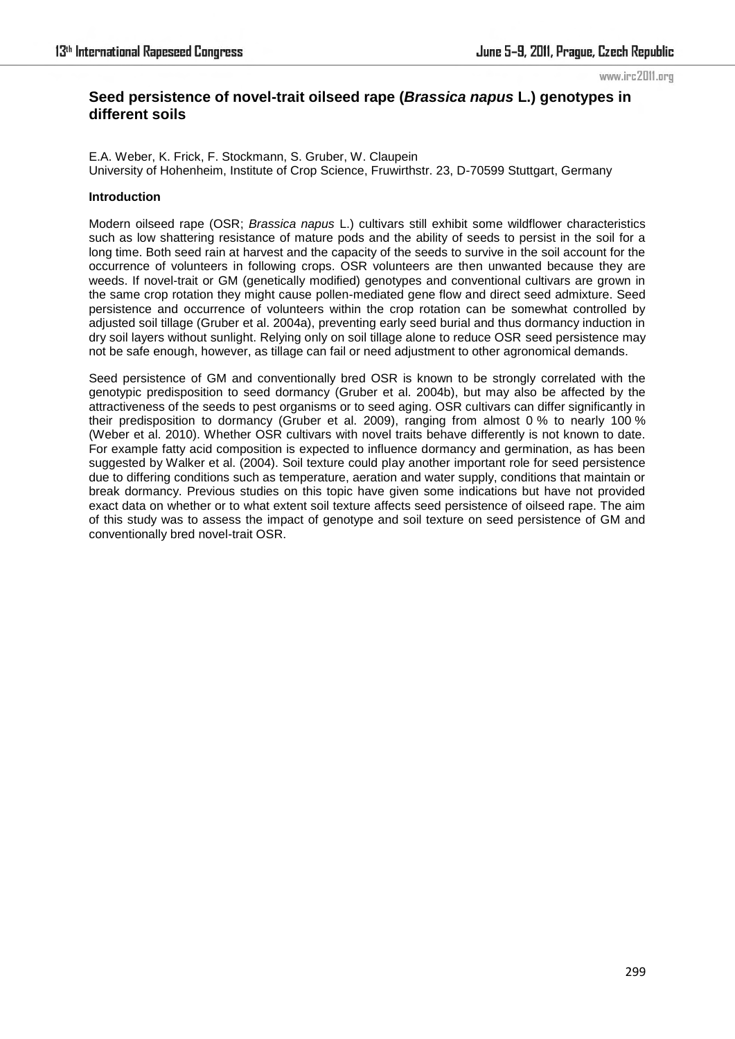#### www.irc2011.org

# **Seed persistence of novel-trait oilseed rape (***Brassica napus* **L.) genotypes in different soils**

E.A. Weber, K. Frick, F. Stockmann, S. Gruber, W. Claupein University of Hohenheim, Institute of Crop Science, Fruwirthstr. 23, D-70599 Stuttgart, Germany

## **Introduction**

Modern oilseed rape (OSR; *Brassica napus* L.) cultivars still exhibit some wildflower characteristics such as low shattering resistance of mature pods and the ability of seeds to persist in the soil for a long time. Both seed rain at harvest and the capacity of the seeds to survive in the soil account for the occurrence of volunteers in following crops. OSR volunteers are then unwanted because they are weeds. If novel-trait or GM (genetically modified) genotypes and conventional cultivars are grown in the same crop rotation they might cause pollen-mediated gene flow and direct seed admixture. Seed persistence and occurrence of volunteers within the crop rotation can be somewhat controlled by adjusted soil tillage (Gruber et al. 2004a), preventing early seed burial and thus dormancy induction in dry soil layers without sunlight. Relying only on soil tillage alone to reduce OSR seed persistence may not be safe enough, however, as tillage can fail or need adjustment to other agronomical demands.

Seed persistence of GM and conventionally bred OSR is known to be strongly correlated with the genotypic predisposition to seed dormancy (Gruber et al. 2004b), but may also be affected by the attractiveness of the seeds to pest organisms or to seed aging. OSR cultivars can differ significantly in their predisposition to dormancy (Gruber et al. 2009), ranging from almost 0 % to nearly 100 % (Weber et al. 2010). Whether OSR cultivars with novel traits behave differently is not known to date. For example fatty acid composition is expected to influence dormancy and germination, as has been suggested by Walker et al. (2004). Soil texture could play another important role for seed persistence due to differing conditions such as temperature, aeration and water supply, conditions that maintain or break dormancy. Previous studies on this topic have given some indications but have not provided exact data on whether or to what extent soil texture affects seed persistence of oilseed rape. The aim of this study was to assess the impact of genotype and soil texture on seed persistence of GM and conventionally bred novel-trait OSR.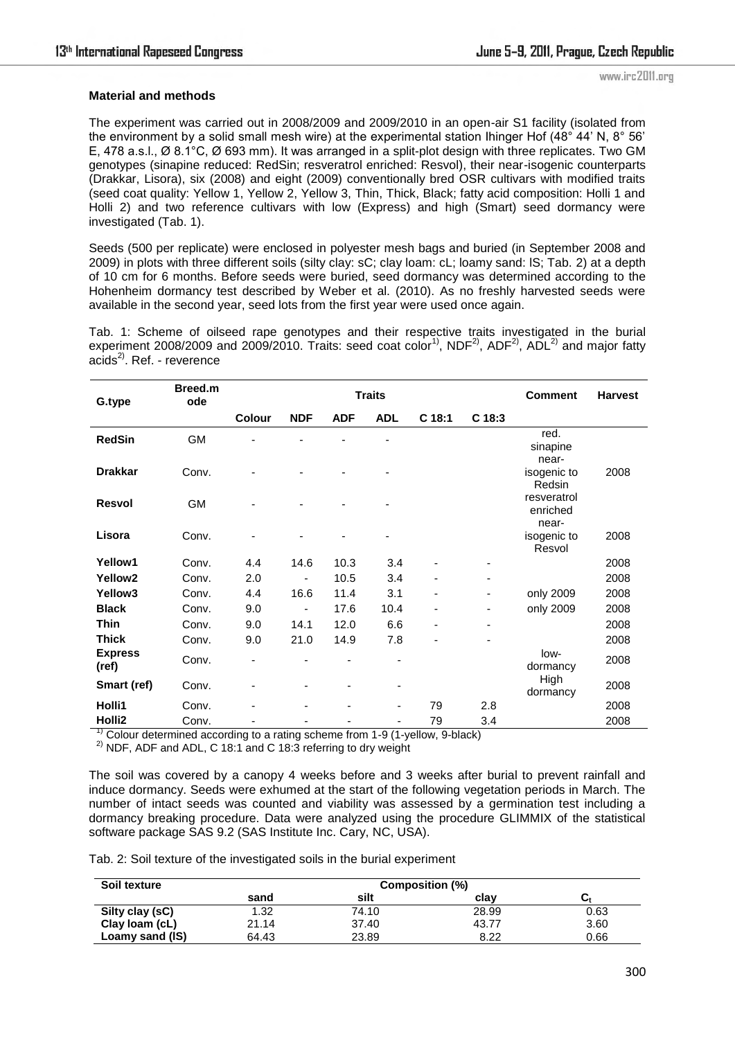### **Material and methods**

The experiment was carried out in 2008/2009 and 2009/2010 in an open-air S1 facility (isolated from the environment by a solid small mesh wire) at the experimental station Ihinger Hof (48° 44' N, 8° 56' E, 478 a.s.l., Ø 8.1°C, Ø 693 mm). It was arranged in a split-plot design with three replicates. Two GM genotypes (sinapine reduced: RedSin; resveratrol enriched: Resvol), their near-isogenic counterparts (Drakkar, Lisora), six (2008) and eight (2009) conventionally bred OSR cultivars with modified traits (seed coat quality: Yellow 1, Yellow 2, Yellow 3, Thin, Thick, Black; fatty acid composition: Holli 1 and Holli 2) and two reference cultivars with low (Express) and high (Smart) seed dormancy were investigated (Tab. 1).

Seeds (500 per replicate) were enclosed in polyester mesh bags and buried (in September 2008 and 2009) in plots with three different soils (silty clay: sC; clay loam: cL; loamy sand: lS; Tab. 2) at a depth of 10 cm for 6 months. Before seeds were buried, seed dormancy was determined according to the Hohenheim dormancy test described by Weber et al. (2010). As no freshly harvested seeds were available in the second year, seed lots from the first year were used once again.

Tab. 1: Scheme of oilseed rape genotypes and their respective traits investigated in the burial experiment 2008/2009 and 2009/2010. Traits: seed coat color<sup>1)</sup>, NDF<sup>2)</sup>, ADF<sup>2)</sup>, ADL<sup>2)</sup> and major fatty  $acids<sup>2</sup>$ . Ref. - reverence

| G.type                                                                         | Breed.m<br>ode                | <b>Traits</b> |                              |            |                      |                                            |                          | <b>Comment</b>                   | <b>Harvest</b> |
|--------------------------------------------------------------------------------|-------------------------------|---------------|------------------------------|------------|----------------------|--------------------------------------------|--------------------------|----------------------------------|----------------|
|                                                                                |                               | <b>Colour</b> | <b>NDF</b>                   | <b>ADF</b> | <b>ADL</b>           | $C$ 18:1                                   | C <sub>18:3</sub>        |                                  |                |
| <b>RedSin</b>                                                                  | GM                            |               |                              |            |                      |                                            |                          | red.<br>sinapine<br>near-        |                |
| <b>Drakkar</b>                                                                 | Conv.                         |               |                              |            |                      |                                            |                          | isogenic to<br>Redsin            | 2008           |
| <b>Resvol</b>                                                                  | <b>GM</b>                     |               |                              |            |                      |                                            |                          | resveratrol<br>enriched<br>near- |                |
| Lisora                                                                         | Conv.                         |               |                              |            |                      |                                            |                          | isogenic to<br>Resvol            | 2008           |
| Yellow1                                                                        | Conv.                         | 4.4           | 14.6                         | 10.3       | 3.4                  |                                            |                          |                                  | 2008           |
| Yellow <sub>2</sub>                                                            | Conv.                         | 2.0           | -                            | 10.5       | 3.4                  |                                            | ٠                        |                                  | 2008           |
| Yellow <sub>3</sub>                                                            | Conv.                         | 4.4           | 16.6                         | 11.4       | 3.1                  | $\overline{\phantom{a}}$                   | $\overline{\phantom{a}}$ | only 2009                        | 2008           |
| <b>Black</b>                                                                   | Conv.                         | 9.0           | -                            | 17.6       | 10.4                 | $\overline{\phantom{a}}$                   | ۰                        | only 2009                        | 2008           |
| <b>Thin</b>                                                                    | Conv.                         | 9.0           | 14.1                         | 12.0       | 6.6                  | ٠                                          | -                        |                                  | 2008           |
| <b>Thick</b>                                                                   | Conv.                         | 9.0           | 21.0                         | 14.9       | 7.8                  |                                            |                          |                                  | 2008           |
| <b>Express</b><br>(ref)                                                        | Conv.                         |               |                              | -          | ٠                    |                                            |                          | low-<br>dormancy                 | 2008           |
| Smart (ref)                                                                    | Conv.                         |               |                              |            |                      |                                            |                          | High<br>dormancy                 | 2008           |
| Holli1                                                                         | Conv.                         |               |                              |            | ٠                    | 79                                         | 2.8                      |                                  | 2008           |
| Holli <sub>2</sub><br>$1)$ $\sim$ $\cdot$<br><b>Contract Contract Contract</b> | Conv.<br>$\sim$ $\sim$ $\sim$ | $\mathbf{r}$  | $\mathbf{r}$<br>$\mathbf{r}$ | $\epsilon$ | $\sim$ $\sim$ $\sim$ | 79<br>$\mathbf{u}$<br>$\sim$ $\sim$ $\sim$ | 3.4                      |                                  | 2008           |

1) Colour determined according to a rating scheme from 1-9 (1-yellow, 9-black)

<sup>2)</sup> NDF, ADF and ADL, C 18:1 and C 18:3 referring to dry weight

The soil was covered by a canopy 4 weeks before and 3 weeks after burial to prevent rainfall and induce dormancy. Seeds were exhumed at the start of the following vegetation periods in March. The number of intact seeds was counted and viability was assessed by a germination test including a dormancy breaking procedure. Data were analyzed using the procedure GLIMMIX of the statistical software package SAS 9.2 (SAS Institute Inc. Cary, NC, USA).

Tab. 2: Soil texture of the investigated soils in the burial experiment

| Soil texture    |       |       |       |      |
|-----------------|-------|-------|-------|------|
|                 | sand  | silt  | clav  | vı   |
| Silty clay (sC) | 1.32  | 74.10 | 28.99 | 0.63 |
| Clay Ioam (cL)  | 21.14 | 37.40 | 43.77 | 3.60 |
| Loamy sand (IS) | 64.43 | 23.89 | 8.22  | 0.66 |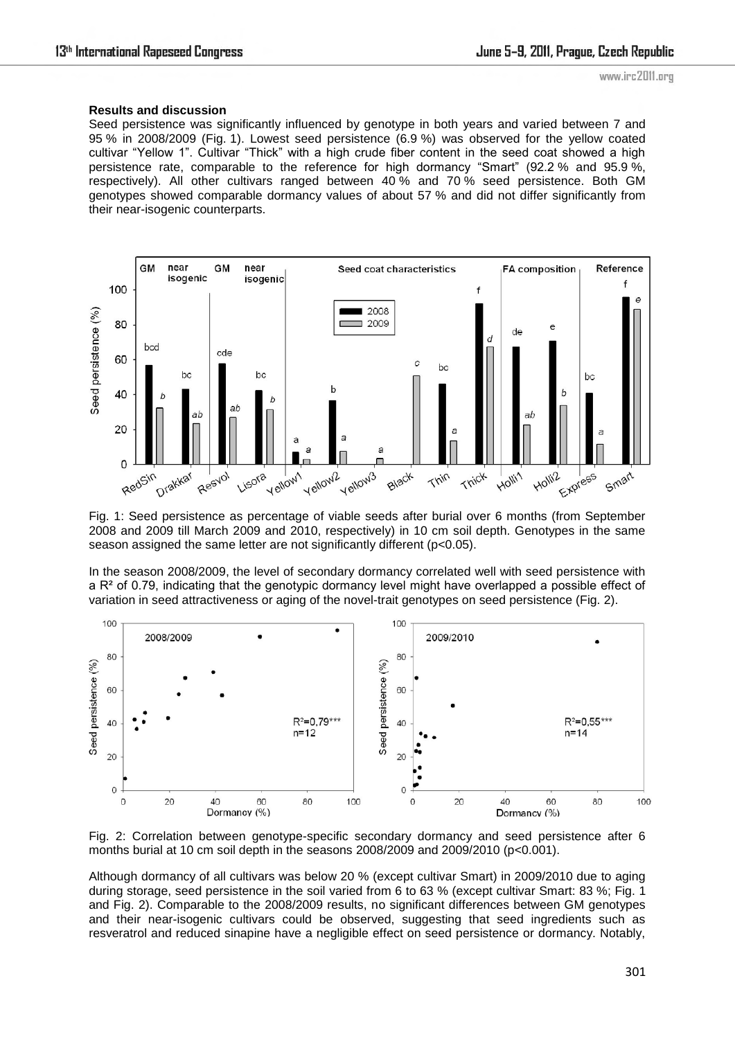### **Results and discussion**

Seed persistence was significantly influenced by genotype in both years and varied between 7 and 95 % in 2008/2009 (Fig. 1). Lowest seed persistence (6.9 %) was observed for the yellow coated cultivar "Yellow 1". Cultivar "Thick" with a high crude fiber content in the seed coat showed a high persistence rate, comparable to the reference for high dormancy "Smart" (92.2 % and 95.9 %, respectively). All other cultivars ranged between 40 % and 70 % seed persistence. Both GM genotypes showed comparable dormancy values of about 57 % and did not differ significantly from their near-isogenic counterparts.



Fig. 1: Seed persistence as percentage of viable seeds after burial over 6 months (from September 2008 and 2009 till March 2009 and 2010, respectively) in 10 cm soil depth. Genotypes in the same season assigned the same letter are not significantly different (p<0.05).

In the season 2008/2009, the level of secondary dormancy correlated well with seed persistence with a  $R<sup>2</sup>$  of 0.79, indicating that the genotypic dormancy level might have overlapped a possible effect of variation in seed attractiveness or aging of the novel-trait genotypes on seed persistence (Fig. 2).



Fig. 2: Correlation between genotype-specific secondary dormancy and seed persistence after 6 months burial at 10 cm soil depth in the seasons 2008/2009 and 2009/2010 (p<0.001).

Although dormancy of all cultivars was below 20 % (except cultivar Smart) in 2009/2010 due to aging during storage, seed persistence in the soil varied from 6 to 63 % (except cultivar Smart: 83 %; Fig. 1 and Fig. 2). Comparable to the 2008/2009 results, no significant differences between GM genotypes and their near-isogenic cultivars could be observed, suggesting that seed ingredients such as resveratrol and reduced sinapine have a negligible effect on seed persistence or dormancy. Notably,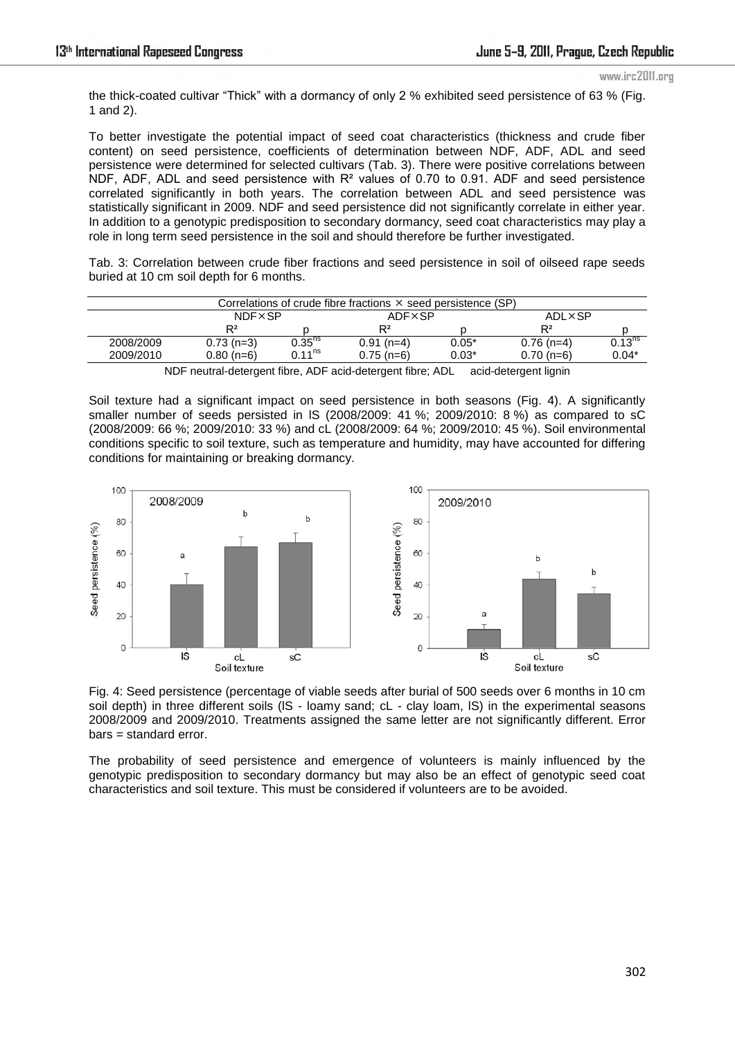www.irc2011.org

the thick-coated cultivar "Thick" with a dormancy of only 2 % exhibited seed persistence of 63 % (Fig. 1 and 2).

To better investigate the potential impact of seed coat characteristics (thickness and crude fiber content) on seed persistence, coefficients of determination between NDF, ADF, ADL and seed persistence were determined for selected cultivars (Tab. 3). There were positive correlations between NDF, ADF, ADL and seed persistence with R² values of 0.70 to 0.91. ADF and seed persistence correlated significantly in both years. The correlation between ADL and seed persistence was statistically significant in 2009. NDF and seed persistence did not significantly correlate in either year. In addition to a genotypic predisposition to secondary dormancy, seed coat characteristics may play a role in long term seed persistence in the soil and should therefore be further investigated.

Tab. 3: Correlation between crude fiber fractions and seed persistence in soil of oilseed rape seeds buried at 10 cm soil depth for 6 months.

| Correlations of crude fibre fractions $\times$ seed persistence (SP) |                |                      |              |               |                |                    |  |  |
|----------------------------------------------------------------------|----------------|----------------------|--------------|---------------|----------------|--------------------|--|--|
|                                                                      | <b>NDFXSP</b>  |                      | ADFXSP       |               | ADL×SP         |                    |  |  |
|                                                                      | $\mathsf{D}^2$ |                      | $R^2$        |               | R <sup>2</sup> |                    |  |  |
| 2008/2009                                                            | $0.73$ (n=3)   | $0.35^{ns}$          | $0.91(n=4)$  | $0.05*$       | $0.76$ (n=4)   | 0.13 <sup>ns</sup> |  |  |
| 2009/2010                                                            | $0.80(n=6)$    | $0.11^{\mathsf{ns}}$ | $0.75$ (n=6) | $0.03^{\ast}$ | $0.70$ (n=6)   | $0.04*$            |  |  |

NDF neutral-detergent fibre, ADF acid-detergent fibre; ADL acid-detergent lignin

Soil texture had a significant impact on seed persistence in both seasons (Fig. 4). A significantly smaller number of seeds persisted in lS (2008/2009: 41 %; 2009/2010: 8 %) as compared to sC (2008/2009: 66 %; 2009/2010: 33 %) and cL (2008/2009: 64 %; 2009/2010: 45 %). Soil environmental conditions specific to soil texture, such as temperature and humidity, may have accounted for differing conditions for maintaining or breaking dormancy.



Fig. 4: Seed persistence (percentage of viable seeds after burial of 500 seeds over 6 months in 10 cm soil depth) in three different soils (IS - loamy sand; cL - clay loam, IS) in the experimental seasons 2008/2009 and 2009/2010. Treatments assigned the same letter are not significantly different. Error bars = standard error.

The probability of seed persistence and emergence of volunteers is mainly influenced by the genotypic predisposition to secondary dormancy but may also be an effect of genotypic seed coat characteristics and soil texture. This must be considered if volunteers are to be avoided.